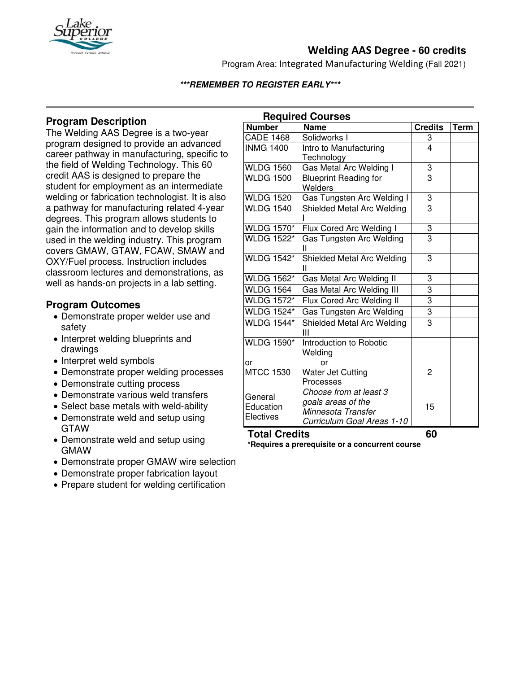

# **Welding AAS Degree - 60 credits**

Program Area: Integrated Manufacturing Welding (Fall 2021)

### **\*\*\*REMEMBER TO REGISTER EARLY\*\*\***

### **Program Description**

The Welding AAS Degree is a two-year program designed to provide an advanced career pathway in manufacturing, specific to the field of Welding Technology. This 60 credit AAS is designed to prepare the student for employment as an intermediate welding or fabrication technologist. It is also a pathway for manufacturing related 4-year degrees. This program allows students to gain the information and to develop skills used in the welding industry. This program covers GMAW, GTAW, FCAW, SMAW and OXY/Fuel process. Instruction includes classroom lectures and demonstrations, as well as hands-on projects in a lab setting.

### **Program Outcomes**

- Demonstrate proper welder use and safety
- Interpret welding blueprints and drawings
- Interpret weld symbols
- Demonstrate proper welding processes
- Demonstrate cutting process
- Demonstrate various weld transfers
- Select base metals with weld-ability
- Demonstrate weld and setup using GTAW
- Demonstrate weld and setup using GMAW
- Demonstrate proper GMAW wire selection
- Demonstrate proper fabrication layout
- Prepare student for welding certification

| <b>Required Courses</b>           |                                    |                |             |
|-----------------------------------|------------------------------------|----------------|-------------|
| <b>Number</b>                     | <b>Name</b>                        | <b>Credits</b> | <b>Term</b> |
| <b>CADE 1468</b>                  | Solidworks I                       | 3              |             |
| <b>INMG 1400</b>                  | Intro to Manufacturing             | 4              |             |
|                                   | Technology                         |                |             |
| <b>WLDG 1560</b>                  | Gas Metal Arc Welding I            | 3              |             |
| <b>WLDG 1500</b>                  | <b>Blueprint Reading for</b>       | $\overline{3}$ |             |
|                                   | Welders                            |                |             |
| <b>WLDG 1520</b>                  | Gas Tungsten Arc Welding I         | 3              |             |
| <b>WLDG 1540</b>                  | Shielded Metal Arc Welding         | $\overline{3}$ |             |
| <b>WLDG 1570*</b>                 | Flux Cored Arc Welding I           | $\frac{3}{3}$  |             |
| <b>WLDG 1522*</b>                 | Gas Tungsten Arc Welding<br>Ш      |                |             |
| <b>WLDG 1542*</b>                 | Shielded Metal Arc Welding<br>Ш    | 3              |             |
| <b>WLDG 1562*</b>                 | Gas Metal Arc Welding II           | 3              |             |
| <b>WLDG 1564</b>                  | Gas Metal Arc Welding III          | 3              |             |
| <b>WLDG 1572*</b>                 | Flux Cored Arc Welding II          | 3              |             |
| <b>WLDG 1524*</b>                 | Gas Tungsten Arc Welding           | 3              |             |
| <b>WLDG 1544*</b>                 | Shielded Metal Arc Welding<br>Ш    | 3              |             |
| <b>WLDG 1590*</b>                 | Introduction to Robotic<br>Welding |                |             |
| or                                | or                                 |                |             |
| <b>MTCC 1530</b>                  | Water Jet Cutting                  | 2              |             |
|                                   | Processes                          |                |             |
| General<br>Education<br>Electives | Choose from at least 3             |                |             |
|                                   | goals areas of the                 | 15             |             |
|                                   | Minnesota Transfer                 |                |             |
|                                   | Curriculum Goal Areas 1-10         |                |             |

# **Total Credits 60**

**\*Requires a prerequisite or a concurrent course**